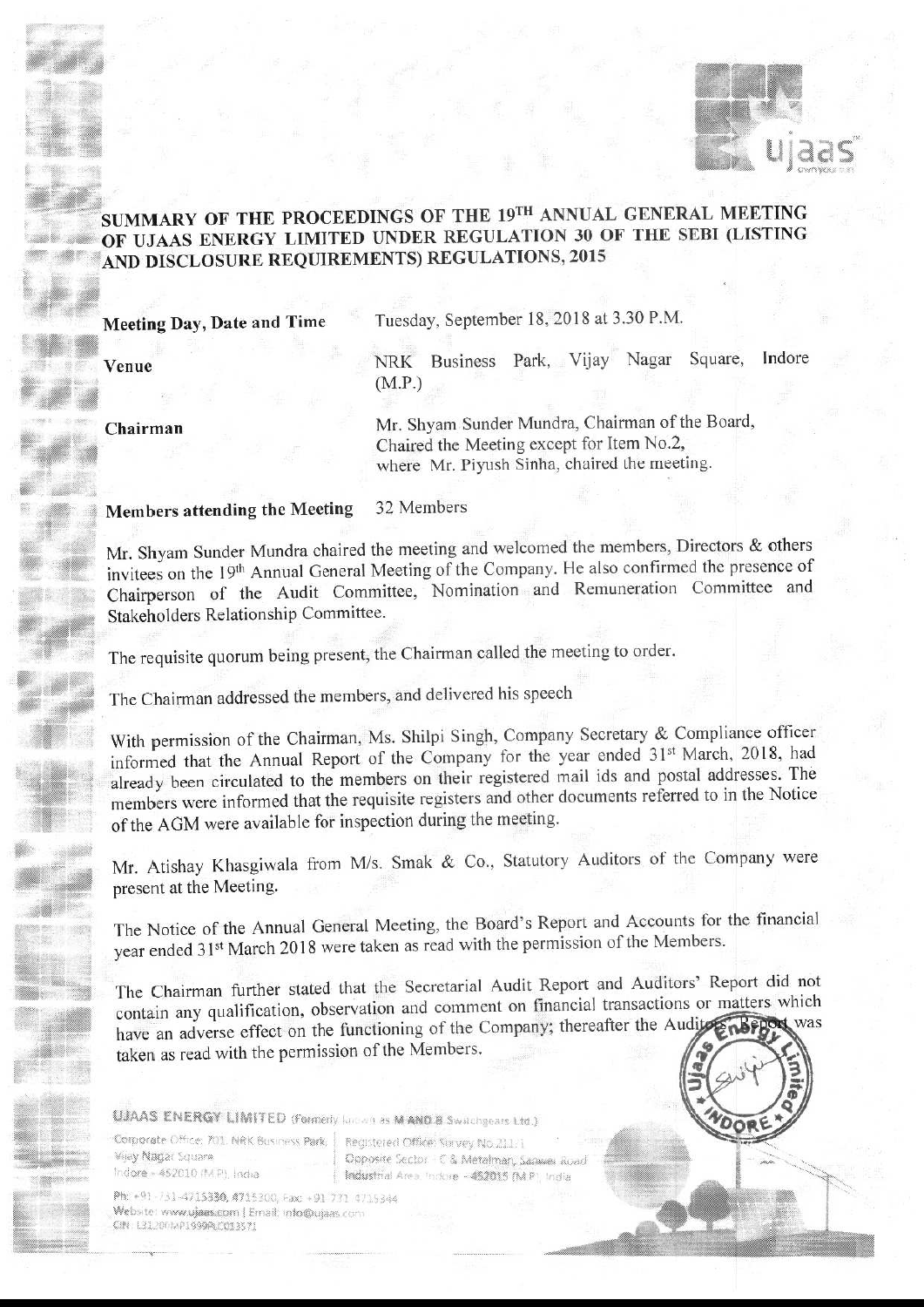

## SUMMARY OF THE PROCEEDINGS OF THE 19TH ANNUAL GENERAL MEETING OF UJAAS ENERGY LIMITED UNDER REGULATION 30 OF THE SEBI (LISTING AND DISCLOSURE REQUIREMENTS) REGULATIONS, 2015

**Meeting Day, Date and Time** 

Venue

Chairman

Tuesday, September 18, 2018 at 3.30 P.M.

NRK Business Park, Vijay Nagar Square, Indore  $(M.P.)$ 

Mr. Shyam Sunder Mundra, Chairman of the Board, Chaired the Meeting except for Item No.2, where Mr. Piyush Sinha, chaired the meeting.

## 32 Members **Members attending the Meeting**

Mr. Shyam Sunder Mundra chaired the meeting and welcomed the members, Directors & others invitees on the 19th Annual General Meeting of the Company. He also confirmed the presence of Chairperson of the Audit Committee, Nomination and Remuneration Committee and Stakeholders Relationship Committee.

The requisite quorum being present, the Chairman called the meeting to order.

The Chairman addressed the members, and delivered his speech

With permission of the Chairman, Ms. Shilpi Singh, Company Secretary & Compliance officer informed that the Annual Report of the Company for the year ended 31st March, 2018, had already been circulated to the members on their registered mail ids and postal addresses. The members were informed that the requisite registers and other documents referred to in the Notice of the AGM were available for inspection during the meeting.

Mr. Atishay Khasgiwala from M/s. Smak & Co., Statutory Auditors of the Company were present at the Meeting.

The Notice of the Annual General Meeting, the Board's Report and Accounts for the financial year ended 31<sup>st</sup> March 2018 were taken as read with the permission of the Members.

The Chairman further stated that the Secretarial Audit Report and Auditors' Report did not contain any qualification, observation and comment on financial transactions or matters which have an adverse effect on the functioning of the Company; thereafter the Audite Report was taken as read with the permission of the Members.

UJAAS ENERGY LIMITED (Formerly landon) as MAND B Switchgears Ltd.)

Corporate Office: 701, NRK Business Park, Vijay Nagar Square Indore - 452010 (M.P.), India

Registered Office: Survey No.211/1 Opposite Sector - C & Metalman, Samuel Road Industrial Area, Indore - 452015 (M.P.) India

Ph: +91-731-4715330, 4715300, Fax: +91-731-4715344 Website: www.ujaas.com | Email: info@ujaas.com CIN: L31,2001AP1999PLC013571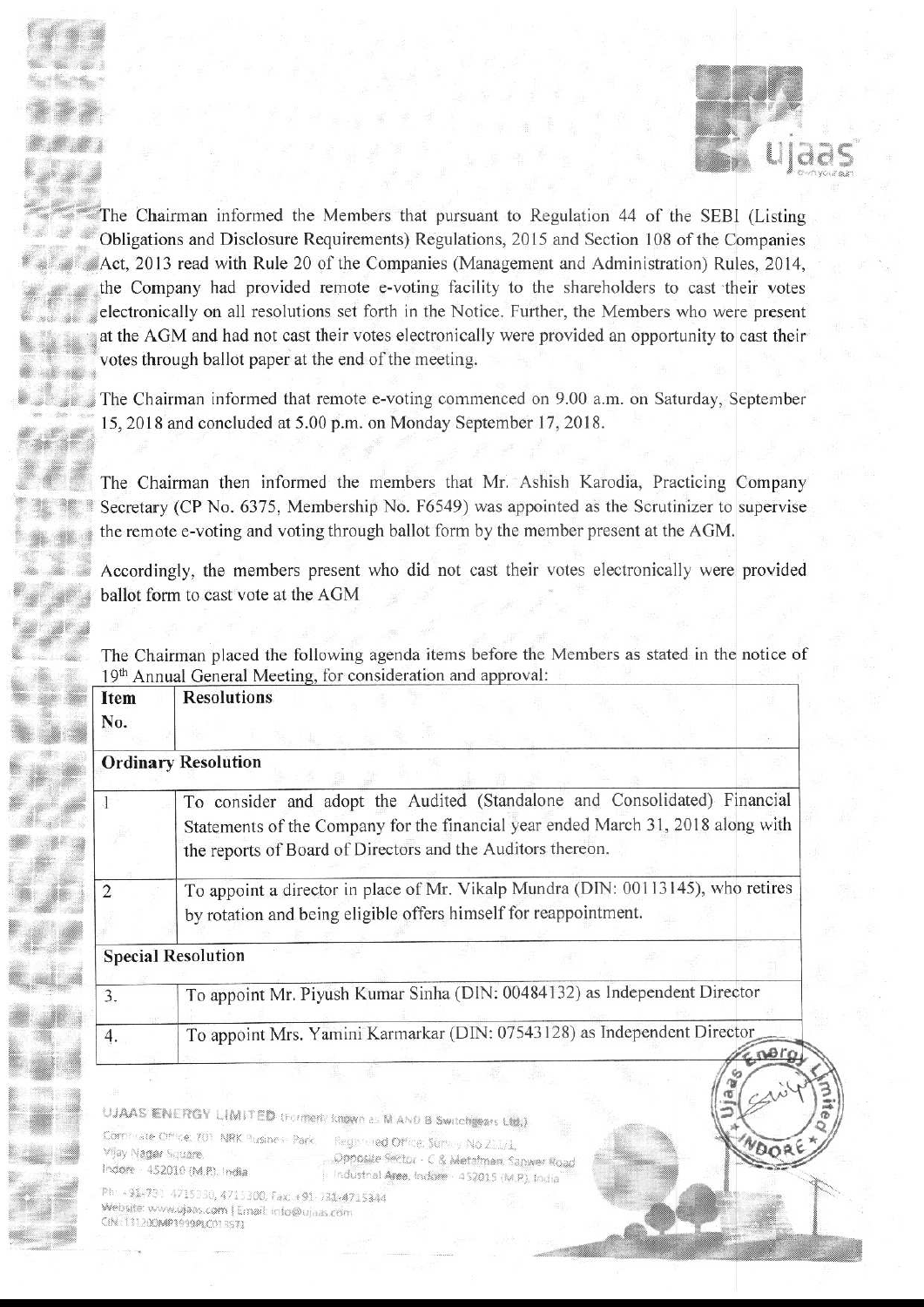

DOR

The Chairman informed the Members that pursuant to Regulation 44 of the SEBI (Listing 4' f; Obligations and Disclosure Requirements) Regulations, <sup>2015</sup> and Section <sup>108</sup> ofthe Companies Act, 2013 read with Rule 20 of the Companies (Management and Administration) Rules, 2014, the Company had provided remote e-voting facility to the shareholders to cast their votes electronically on all resolutions set forth in the Notice. Further, the Members who were present at the AGM and had not cast their votes electronically were provided an opportunity to cast their votes through ballot paper at the end of the meeting.

The Chairman informed that remote e-voting commenced on 9.00 a.m. on Saturday, September 15, 2018 and concluded at 5.00 p.m. on Monday September 17, 2018.

 $\mathcal{I}$ The Chairman then informed the members that Mr. Ashish Karodia, Practicing Company Secretary (CP No. 6375, Membership No, F6549) was appointed as the Scrutinizer to supervise the remote e-voting and voting through ballot form by the member present at the AGM.

Accordingly, the members present who did not cast their votes electronically were provided ballot form to cast vote at the AGM

The Chairman placed the following agenda items before the Members as stated in the notice of 19<sup>th</sup> Annual General Meeting, for consideration and approval:

| Item<br>No. | <b>Resolutions</b>                                                                                                                                                                                                           |
|-------------|------------------------------------------------------------------------------------------------------------------------------------------------------------------------------------------------------------------------------|
|             | <b>Ordinary Resolution</b>                                                                                                                                                                                                   |
|             | To consider and adopt the Audited (Standalone and Consolidated) Financial<br>Statements of the Company for the financial year ended March 31, 2018 along with<br>the reports of Board of Directors and the Auditors thereon. |
| ॽ           | To appoint a director in place of Mr. Vikalp Mundra (DIN: 00113145), who retires<br>by rotation and being eligible offers himself for reappointment.                                                                         |
|             | <b>Special Resolution</b>                                                                                                                                                                                                    |
| 3.          | To appoint Mr. Piyush Kumar Sinha (DIN: 00484132) as Independent Director                                                                                                                                                    |
| 4.          | To appoint Mrs. Yamini Karmarkar (DIN: 07543128) as Independent Director                                                                                                                                                     |

IMITED (Formerly known as M AND B Switchgears Ltd.)

Vijay Nagar Square. Indore - 452010 (M.P.), India

.<br>A Italian a Albanya a Ba

9

"

a

t1

so

 $\epsilon$  and  $\epsilon$ 

9%. 9E3 <sup>3</sup>

1., fifi i

eye

Registered Office, Service No.2007. Dpposize Sector - C & Metafman, Sanwer Road P, Industrial Area, Indone - 452015 (M.P.), India

Ph: +91-731-4715330, 4715300, Fax: +91-731-4715344<br>Website: www.ujaas.com [Email: info@ujaas.com CIN: 131200MP1999PLC013571